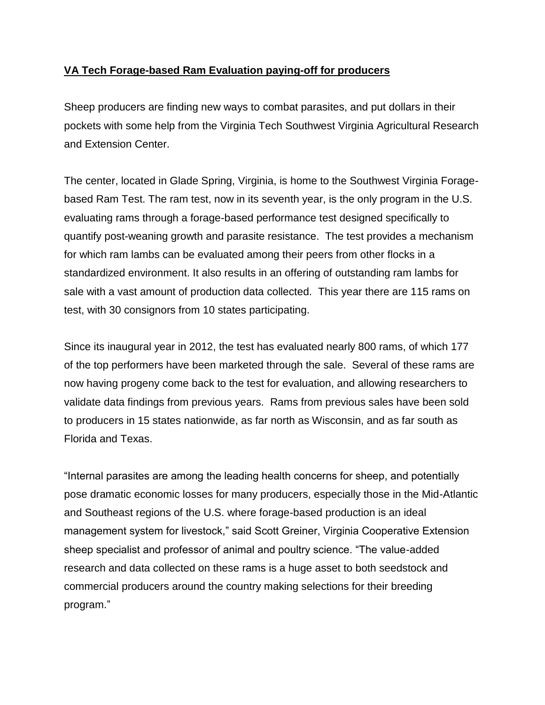## **VA Tech Forage-based Ram Evaluation paying-off for producers**

Sheep producers are finding new ways to combat parasites, and put dollars in their pockets with some help from the Virginia Tech Southwest Virginia Agricultural Research and Extension Center.

The center, located in Glade Spring, Virginia, is home to the Southwest Virginia Foragebased Ram Test. The ram test, now in its seventh year, is the only program in the U.S. evaluating rams through a forage-based performance test designed specifically to quantify post-weaning growth and parasite resistance. The test provides a mechanism for which ram lambs can be evaluated among their peers from other flocks in a standardized environment. It also results in an offering of outstanding ram lambs for sale with a vast amount of production data collected. This year there are 115 rams on test, with 30 consignors from 10 states participating.

Since its inaugural year in 2012, the test has evaluated nearly 800 rams, of which 177 of the top performers have been marketed through the sale. Several of these rams are now having progeny come back to the test for evaluation, and allowing researchers to validate data findings from previous years. Rams from previous sales have been sold to producers in 15 states nationwide, as far north as Wisconsin, and as far south as Florida and Texas.

"Internal parasites are among the leading health concerns for sheep, and potentially pose dramatic economic losses for many producers, especially those in the Mid-Atlantic and Southeast regions of the U.S. where forage-based production is an ideal management system for livestock," said Scott Greiner, Virginia Cooperative Extension sheep specialist and professor of animal and poultry science. "The value-added research and data collected on these rams is a huge asset to both seedstock and commercial producers around the country making selections for their breeding program."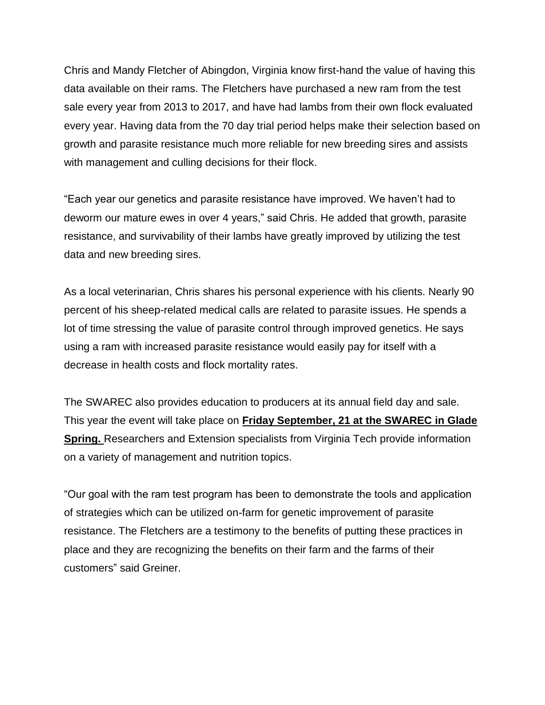Chris and Mandy Fletcher of Abingdon, Virginia know first-hand the value of having this data available on their rams. The Fletchers have purchased a new ram from the test sale every year from 2013 to 2017, and have had lambs from their own flock evaluated every year. Having data from the 70 day trial period helps make their selection based on growth and parasite resistance much more reliable for new breeding sires and assists with management and culling decisions for their flock.

"Each year our genetics and parasite resistance have improved. We haven't had to deworm our mature ewes in over 4 years," said Chris. He added that growth, parasite resistance, and survivability of their lambs have greatly improved by utilizing the test data and new breeding sires.

As a local veterinarian, Chris shares his personal experience with his clients. Nearly 90 percent of his sheep-related medical calls are related to parasite issues. He spends a lot of time stressing the value of parasite control through improved genetics. He says using a ram with increased parasite resistance would easily pay for itself with a decrease in health costs and flock mortality rates.

The SWAREC also provides education to producers at its annual field day and sale. This year the event will take place on **Friday September, 21 at the SWAREC in Glade Spring.** Researchers and Extension specialists from Virginia Tech provide information on a variety of management and nutrition topics.

"Our goal with the ram test program has been to demonstrate the tools and application of strategies which can be utilized on-farm for genetic improvement of parasite resistance. The Fletchers are a testimony to the benefits of putting these practices in place and they are recognizing the benefits on their farm and the farms of their customers" said Greiner.